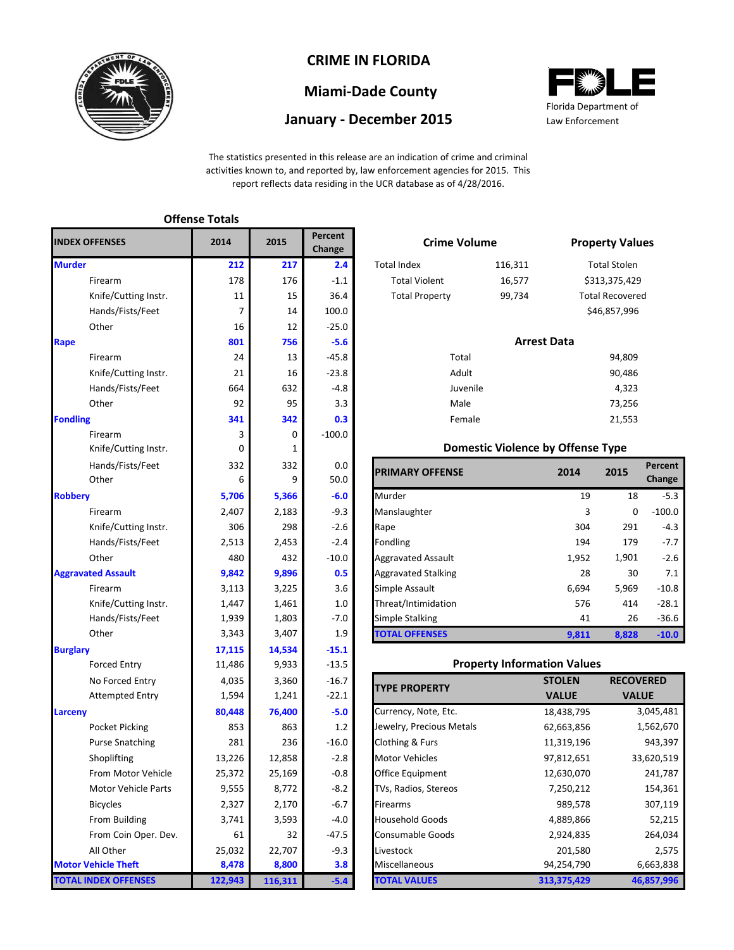

### **CRIME IN FLORIDA**

# **Miami-Dade County**

### **January - December 2015**



The statistics presented in this release are an indication of crime and criminal activities known to, and reported by, law enforcement agencies for 2015. This report reflects data residing in the UCR database as of 4/28/2016.

| <b>INDEX OFFENSES</b>       | 2014    | 2015    | Percent<br>Change | <b>Crime Volume</b>                 |                                          |                    | <b>Property Val</b> |
|-----------------------------|---------|---------|-------------------|-------------------------------------|------------------------------------------|--------------------|---------------------|
| <b>Murder</b>               | 212     | 217     | 2.4               | <b>Total Index</b>                  | 116,311                                  |                    | <b>Total Stolen</b> |
| Firearm                     | 178     | 176     | $-1.1$            | <b>Total Violent</b>                | 16,577                                   | \$313,375,42       |                     |
| Knife/Cutting Instr.        | 11      | 15      | 36.4              | <b>Total Property</b>               | 99,734                                   |                    | Total Recover       |
| Hands/Fists/Feet            | 7       | 14      | 100.0             |                                     |                                          |                    | \$46,857,996        |
| Other                       | 16      | 12      | $-25.0$           |                                     |                                          |                    |                     |
| Rape                        | 801     | 756     | $-5.6$            |                                     |                                          | <b>Arrest Data</b> |                     |
| Firearm                     | 24      | 13      | $-45.8$           | Total                               |                                          |                    | 94,809              |
| Knife/Cutting Instr.        | 21      | 16      | $-23.8$           | Adult                               |                                          |                    | 90,486              |
| Hands/Fists/Feet            | 664     | 632     | $-4.8$            | Juvenile                            |                                          |                    | 4,323               |
| Other                       | 92      | 95      | 3.3               | Male                                |                                          |                    | 73,256              |
| <b>Fondling</b>             | 341     | 342     | 0.3               | Female                              |                                          |                    | 21,553              |
| Firearm                     | 3       | 0       | $-100.0$          |                                     |                                          |                    |                     |
| Knife/Cutting Instr.        | 0       | 1       |                   |                                     | <b>Domestic Violence by Offense Type</b> |                    |                     |
| Hands/Fists/Feet            | 332     | 332     | 0.0               | <b>PRIMARY OFFENSE</b>              |                                          | 2014               | 2015                |
| Other                       | 6       | 9       | 50.0              |                                     |                                          |                    |                     |
| <b>Robbery</b>              | 5,706   | 5,366   | $-6.0$            | Murder                              |                                          | 19                 | 18                  |
| Firearm                     | 2,407   | 2,183   | $-9.3$            | Manslaughter                        |                                          | 3                  | 0                   |
| Knife/Cutting Instr.        | 306     | 298     | $-2.6$            | Rape                                |                                          | 304                | 291                 |
| Hands/Fists/Feet            | 2,513   | 2,453   | $-2.4$            | Fondling                            |                                          | 194                | 179                 |
| Other                       | 480     | 432     | $-10.0$           | <b>Aggravated Assault</b>           |                                          | 1,952              | 1,901               |
| <b>Aggravated Assault</b>   | 9,842   | 9,896   | 0.5               | <b>Aggravated Stalking</b>          |                                          | 28                 | 30                  |
| Firearm                     | 3,113   | 3,225   | 3.6               | Simple Assault                      |                                          | 6,694              | 5,969               |
| Knife/Cutting Instr.        | 1,447   | 1,461   | 1.0               | Threat/Intimidation                 |                                          | 576                | 414                 |
| Hands/Fists/Feet            | 1,939   | 1,803   | $-7.0$            | <b>Simple Stalking</b>              |                                          | 41                 | 26                  |
| Other                       | 3,343   | 3,407   | 1.9               | <b>TOTAL OFFENSES</b>               |                                          | 9,811              | 8,828               |
| <b>Burglary</b>             | 17,115  | 14,534  | $-15.1$           |                                     |                                          |                    |                     |
| <b>Forced Entry</b>         | 11,486  | 9,933   | $-13.5$           |                                     | <b>Property Information Values</b>       |                    |                     |
| No Forced Entry             | 4,035   | 3,360   | $-16.7$           | <b>TYPE PROPERTY</b>                |                                          | <b>STOLEN</b>      | <b>RECO</b>         |
| <b>Attempted Entry</b>      | 1,594   | 1,241   | $-22.1$           |                                     |                                          | <b>VALUE</b>       | <b>VA</b>           |
| <b>Larceny</b>              | 80,448  | 76,400  | $-5.0$            | Currency, Note, Etc.                |                                          | 18,438,795         |                     |
| Pocket Picking              | 853     | 863     | 1.2               | Jewelry, Precious Metals            |                                          | 62,663,856         |                     |
| <b>Purse Snatching</b>      | 281     | 236     | $-16.0$           | Clothing & Furs                     |                                          | 11,319,196         |                     |
| Shoplifting                 | 13,226  | 12,858  | $-2.8$            | Motor Vehicles                      |                                          | 97,812,651         | 3                   |
| From Motor Vehicle          | 25,372  | 25,169  | $-0.8$            | Office Equipment                    |                                          | 12,630,070         |                     |
| <b>Motor Vehicle Parts</b>  | 9,555   | 8,772   | $-8.2$            | TVs, Radios, Stereos                |                                          | 7,250,212          |                     |
| <b>Bicycles</b>             | 2,327   | 2,170   | $-6.7$            | <b>Firearms</b>                     |                                          | 989,578            |                     |
| From Building               | 3,741   | 3,593   | $-4.0$            | <b>Household Goods</b><br>4,889,866 |                                          |                    |                     |
| From Coin Oper. Dev.        | 61      | 32      | $-47.5$           | <b>Consumable Goods</b>             |                                          | 2,924,835          |                     |
| All Other                   | 25,032  | 22,707  | $-9.3$            | Livestock                           |                                          | 201,580            |                     |
| <b>Motor Vehicle Theft</b>  | 8,478   | 8,800   | 3.8               | Miscellaneous                       |                                          | 94,254,790         |                     |
| <b>TOTAL INDEX OFFENSES</b> | 122,943 | 116,311 | $-5.4$            | <b>TOTAL VALUES</b>                 |                                          | 313,375,429        | 4                   |

**Offense Totals**

| 5   | reiceill<br>Change | <b>Crime Volume</b>   |                    | <b>Property Values</b> |
|-----|--------------------|-----------------------|--------------------|------------------------|
| 217 | 2.4                | <b>Total Index</b>    | 116,311            | <b>Total Stolen</b>    |
| 176 | $-1.1$             | <b>Total Violent</b>  | 16,577             | \$313,375,429          |
| 15  | 36.4               | <b>Total Property</b> | 99,734             | <b>Total Recovered</b> |
| 14  | 100.0              |                       |                    | \$46,857,996           |
| 12  | $-25.0$            |                       |                    |                        |
| 756 | $-5.6$             |                       | <b>Arrest Data</b> |                        |
| 13  | $-45.8$            | Total                 |                    | 94,809                 |
| 16  | $-23.8$            | Adult                 |                    | 90,486                 |
| 632 | $-4.8$             | Juvenile              |                    | 4,323                  |
| 95  | 3.3                | Male                  |                    | 73,256                 |
| 342 | 0.3                | Female                |                    | 21,553                 |
|     |                    |                       |                    |                        |

#### **Domestic Violence by Offense Type**

| Hands/Fists/Feet<br>Other | 332<br>6 | 332<br>9 | 0.0<br>50.0 | <b>PRIMARY OFFENSE</b>     | 2014  | 2015  | Percent<br>Change |
|---------------------------|----------|----------|-------------|----------------------------|-------|-------|-------------------|
|                           | 5,706    | 5,366    | $-6.0$      | Murder                     | 19    | 18    | $-5.3$            |
| Firearm                   | 2,407    | 2,183    | $-9.3$      | Manslaughter               | 3     | 0     | $-100.0$          |
| Knife/Cutting Instr.      | 306      | 298      | $-2.6$      | Rape                       | 304   | 291   | $-4.3$            |
| Hands/Fists/Feet          | 2,513    | 2,453    | $-2.4$      | Fondling                   | 194   | 179   | $-7.7$            |
| Other                     | 480      | 432      | $-10.0$     | <b>Aggravated Assault</b>  | 1,952 | 1,901 | $-2.6$            |
| ted Assault               | 9,842    | 9,896    | 0.5         | <b>Aggravated Stalking</b> | 28    | 30    | 7.1               |
| Firearm                   | 3,113    | 3,225    | 3.6         | Simple Assault             | 6,694 | 5,969 | $-10.8$           |
| Knife/Cutting Instr.      | 1,447    | 1,461    | 1.0         | Threat/Intimidation        | 576   | 414   | $-28.1$           |
| Hands/Fists/Feet          | 1,939    | 1,803    | $-7.0$      | <b>Simple Stalking</b>     | 41    | 26    | $-36.6$           |
| Other                     | 3,343    | 3,407    | 1.9         | <b>TOTAL OFFENSES</b>      | 9,811 | 8,828 | $-10.0$           |

#### **Property Information Values**

| <b>TYPE PROPERTY</b>     | <b>STOLEN</b> | <b>RECOVERED</b> |
|--------------------------|---------------|------------------|
|                          | <b>VALUE</b>  | <b>VALUE</b>     |
| Currency, Note, Etc.     | 18,438,795    | 3,045,481        |
| Jewelry, Precious Metals | 62,663,856    | 1,562,670        |
| Clothing & Furs          | 11,319,196    | 943,397          |
| <b>Motor Vehicles</b>    | 97,812,651    | 33,620,519       |
| <b>Office Equipment</b>  | 12,630,070    | 241,787          |
| TVs, Radios, Stereos     | 7,250,212     | 154,361          |
| <b>Firearms</b>          | 989,578       | 307,119          |
| <b>Household Goods</b>   | 4,889,866     | 52,215           |
| <b>Consumable Goods</b>  | 2,924,835     | 264,034          |
| Livestock                | 201,580       | 2,575            |
| Miscellaneous            | 94,254,790    | 6,663,838        |
| <b>TOTAL VALUES</b>      | 313,375,429   | 46,857,996       |